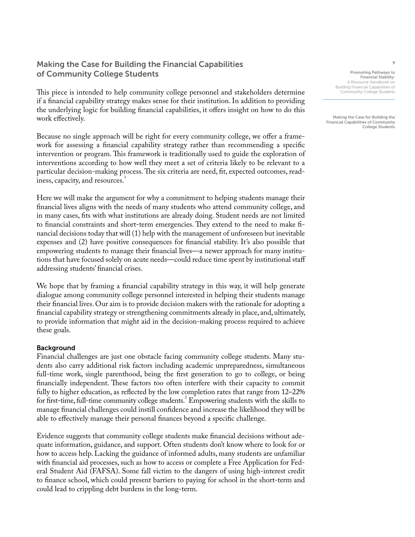# Making the Case for Building the Financial Capabilities of Community College Students

This piece is intended to help community college personnel and stakeholders determine if a financial capability strategy makes sense for their institution. In addition to providing the underlying logic for building financial capabilities, it offers insight on how to do this work effectively.

Because no single approach will be right for every community college, we offer a framework for assessing a financial capability strategy rather than recommending a specific intervention or program. This framework is traditionally used to guide the exploration of interventions according to how well they meet a set of criteria likely to be relevant to a particular decision-making process. The six criteria are need, fit, expected outcomes, readiness, capacity, and resources.<sup>1</sup>

Here we will make the argument for why a commitment to helping students manage their financial lives aligns with the needs of many students who attend community college, and in many cases, fits with what institutions are already doing. Student needs are not limited to financial constraints and short-term emergencies. They extend to the need to make financial decisions today that will (1) help with the management of unforeseen but inevitable expenses and (2) have positive consequences for financial stability. It's also possible that empowering students to manage their financial lives—a newer approach for many institutions that have focused solely on acute needs—could reduce time spent by institutional staff addressing students' financial crises.

We hope that by framing a financial capability strategy in this way, it will help generate dialogue among community college personnel interested in helping their students manage their financial lives. Our aim is to provide decision makers with the rationale for adopting a financial capability strategy or strengthening commitments already in place, and, ultimately, to provide information that might aid in the decision-making process required to achieve these goals.

## Background

Financial challenges are just one obstacle facing community college students. Many students also carry additional risk factors including academic unpreparedness, simultaneous full-time work, single parenthood, being the first generation to go to college, or being financially independent. These factors too often interfere with their capacity to commit fully to higher education, as reflected by the low completion rates that range from 12–22% for first-time, full-time community college students.<sup>2</sup> Empowering students with the skills to manage financial challenges could instill confidence and increase the likelihood they will be able to effectively manage their personal finances beyond a specific challenge.

Evidence suggests that community college students make financial decisions without adequate information, guidance, and support. Often students don't know where to look for or how to access help. Lacking the guidance of informed adults, many students are unfamiliar with financial aid processes, such as how to access or complete a Free Application for Federal Student Aid (FAFSA). Some fall victim to the dangers of using high-interest credit to finance school, which could present barriers to paying for school in the short-term and could lead to crippling debt burdens in the long-term.

Promoting Pathways to Financial Stability: A Resource Handbook on Building Financial Capabilities of Community College Students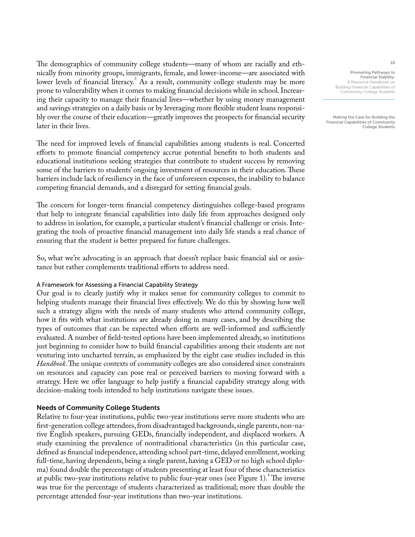The demographics of community college students—many of whom are racially and ethnically from minority groups, immigrants, female, and lower-income—are associated with lower levels of financial literacy.<sup>3</sup> As a result, community college students may be more prone to vulnerability when it comes to making financial decisions while in school. Increasing their capacity to manage their financial lives—whether by using money management and savings strategies on a daily basis or by leveraging more flexible student loans responsibly over the course of their education—greatly improves the prospects for financial security later in their lives.

The need for improved levels of financial capabilities among students is real. Concerted efforts to promote financial competency accrue potential benefits to both students and educational institutions seeking strategies that contribute to student success by removing some of the barriers to students' ongoing investment of resources in their education. These barriers include lack of resiliency in the face of unforeseen expenses, the inability to balance competing financial demands, and a disregard for setting financial goals.

The concern for longer-term financial competency distinguishes college-based programs that help to integrate financial capabilities into daily life from approaches designed only to address in isolation, for example, a particular student's financial challenge or crisis. Integrating the tools of proactive financial management into daily life stands a real chance of ensuring that the student is better prepared for future challenges.

So, what we're advocating is an approach that doesn't replace basic financial aid or assistance but rather complements traditional efforts to address need.

### A Framework for Assessing a Financial Capability Strategy

Our goal is to clearly justify why it makes sense for community colleges to commit to helping students manage their financial lives effectively. We do this by showing how well such a strategy aligns with the needs of many students who attend community college, how it fits with what institutions are already doing in many cases, and by describing the types of outcomes that can be expected when efforts are well-informed and sufficiently evaluated. A number of field-tested options have been implemented already, so institutions just beginning to consider how to build financial capabilities among their students are not venturing into uncharted terrain, as emphasized by the eight case studies included in this *Handbook*. The unique contexts of community colleges are also considered since constraints on resources and capacity can pose real or perceived barriers to moving forward with a strategy. Here we offer language to help justify a financial capability strategy along with decision-making tools intended to help institutions navigate these issues.

### Needs of Community College Students

Relative to four-year institutions, public two-year institutions serve more students who are first-generation college attendees, from disadvantaged backgrounds, single parents, non-native English speakers, pursuing GEDs, financially independent, and displaced workers. A study examining the prevalence of nontraditional characteristics (in this particular case, defined as financial independence, attending school part-time, delayed enrollment, working full-time, having dependents, being a single parent, having a GED or no high school diploma) found double the percentage of students presenting at least four of these characteristics at public two-year institutions relative to public four-year ones (see Figure 1). The inverse was true for the percentage of students characterized as traditional; more than double the percentage attended four-year institutions than two-year institutions.

Promoting Pathways to Financial Stability: A Resource Handbook on Building Financial Capabilities of Community College Students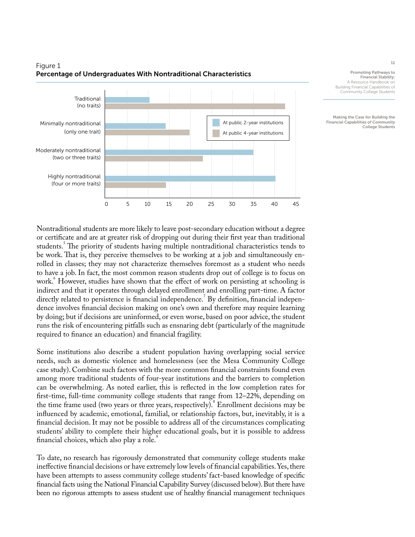

# Figure 1 Percentage of Undergraduates With Nontraditional Characteristics

Promoting Pathways to Financial Stability: A Resource Handbook on Building Financial Capabilities of Community College Students

Making the Case for Building the Financial Capabilities of Community College Students

Nontraditional students are more likely to leave post-secondary education without a degree or certificate and are at greater risk of dropping out during their first year than traditional students.<sup>5</sup> The priority of students having multiple nontraditional characteristics tends to be work. That is, they perceive themselves to be working at a job and simultaneously enrolled in classes; they may not characterize themselves foremost as a student who needs to have a job. In fact, the most common reason students drop out of college is to focus on work.<sup>6</sup> However, studies have shown that the effect of work on persisting at schooling is indirect and that it operates through delayed enrollment and enrolling part-time. A factor directly related to persistence is financial independence.<sup>7</sup> By definition, financial independence involves financial decision making on one's own and therefore may require learning by doing; but if decisions are uninformed, or even worse, based on poor advice, the student runs the risk of encountering pitfalls such as ensnaring debt (particularly of the magnitude required to finance an education) and financial fragility.

Some institutions also describe a student population having overlapping social service needs, such as domestic violence and homelessness (see the Mesa Community College case study). Combine such factors with the more common financial constraints found even among more traditional students of four-year institutions and the barriers to completion can be overwhelming. As noted earlier, this is reflected in the low completion rates for first-time, full-time community college students that range from 12–22%, depending on the time frame used (two years or three years, respectively). Enrollment decisions may be influenced by academic, emotional, familial, or relationship factors, but, inevitably, it is a financial decision. It may not be possible to address all of the circumstances complicating students' ability to complete their higher educational goals, but it is possible to address financial choices, which also play a role.<sup>9</sup>

To date, no research has rigorously demonstrated that community college students make ineffective financial decisions or have extremely low levels of financial capabilities. Yes, there have been attempts to assess community college students' fact-based knowledge of specific financial facts using the National Financial Capability Survey (discussed below). But there have been no rigorous attempts to assess student use of healthy financial management techniques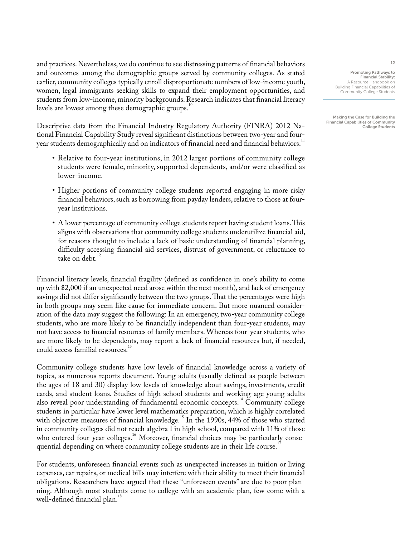and practices. Nevertheless, we do continue to see distressing patterns of financial behaviors and outcomes among the demographic groups served by community colleges. As stated earlier, community colleges typically enroll disproportionate numbers of low-income youth, women, legal immigrants seeking skills to expand their employment opportunities, and students from low-income, minority backgrounds. Research indicates that financial literacy levels are lowest among these demographic groups.<sup>10</sup>

Descriptive data from the Financial Industry Regulatory Authority (FINRA) 2012 National Financial Capability Study reveal significant distinctions between two-year and fouryear students demographically and on indicators of financial need and financial behaviors.<sup>11</sup>

- Relative to four-year institutions, in 2012 larger portions of community college students were female, minority, supported dependents, and/or were classified as lower-income.
- Higher portions of community college students reported engaging in more risky financial behaviors, such as borrowing from payday lenders, relative to those at fouryear institutions.
- A lower percentage of community college students report having student loans. This aligns with observations that community college students underutilize financial aid, for reasons thought to include a lack of basic understanding of financial planning, difficulty accessing financial aid services, distrust of government, or reluctance to take on debt. $12$

Financial literacy levels, financial fragility (defined as confidence in one's ability to come up with \$2,000 if an unexpected need arose within the next month), and lack of emergency savings did not differ significantly between the two groups. That the percentages were high in both groups may seem like cause for immediate concern. But more nuanced consideration of the data may suggest the following: In an emergency, two-year community college students, who are more likely to be financially independent than four-year students, may not have access to financial resources of family members. Whereas four-year students, who are more likely to be dependents, may report a lack of financial resources but, if needed, could access familial resources.<sup>13</sup>

Community college students have low levels of financial knowledge across a variety of topics, as numerous reports document. Young adults (usually defined as people between the ages of 18 and 30) display low levels of knowledge about savings, investments, credit cards, and student loans. Studies of high school students and working-age young adults also reveal poor understanding of fundamental economic concepts.<sup>14</sup> Community college students in particular have lower level mathematics preparation, which is highly correlated with objective measures of financial knowledge.<sup>15</sup> In the 1990s, 44% of those who started in community colleges did not reach algebra I in high school, compared with 11% of those who entered four-year colleges.<sup>16</sup> Moreover, financial choices may be particularly consequential depending on where community college students are in their life course.<sup>1</sup>

For students, unforeseen financial events such as unexpected increases in tuition or living expenses, car repairs, or medical bills may interfere with their ability to meet their financial obligations. Researchers have argued that these "unforeseen events" are due to poor planning. Although most students come to college with an academic plan, few come with a well-defined financial plan.<sup>18</sup>

Promoting Pathways to Financial Stability: A Resource Handbook on Building Financial Capabilities of Community College Students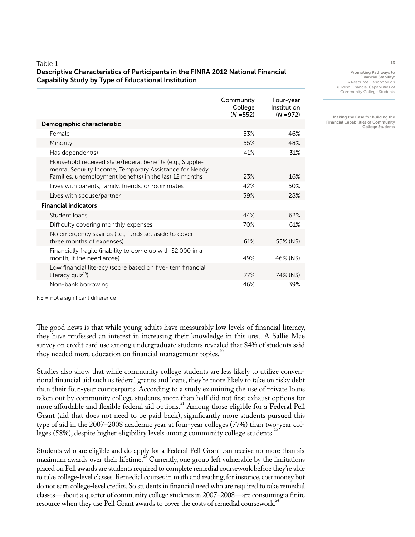### Table 1

## Descriptive Characteristics of Participants in the FINRA 2012 National Financial Capability Study by Type of Educational Institution

|                                                                                                                                                                              | Community<br>College<br>$(N = 552)$ | Four-year<br>Institution<br>$(N = 972)$ |
|------------------------------------------------------------------------------------------------------------------------------------------------------------------------------|-------------------------------------|-----------------------------------------|
| Demographic characteristic                                                                                                                                                   |                                     |                                         |
| Female                                                                                                                                                                       | 53%                                 | 46%                                     |
| Minority                                                                                                                                                                     | 55%                                 | 48%                                     |
| Has dependent(s)                                                                                                                                                             | 41%                                 | 31%                                     |
| Household received state/federal benefits (e.g., Supple-<br>mental Security Income, Temporary Assistance for Needy<br>Families, unemployment benefits) in the last 12 months | 23%                                 | 16%                                     |
| Lives with parents, family, friends, or roommates                                                                                                                            | 42%                                 | 50%                                     |
| Lives with spouse/partner                                                                                                                                                    | 39%                                 | 28%                                     |
| <b>Financial indicators</b>                                                                                                                                                  |                                     |                                         |
| Student loans                                                                                                                                                                | 44%                                 | 62%                                     |
| Difficulty covering monthly expenses                                                                                                                                         | 70%                                 | 61%                                     |
| No emergency savings (i.e., funds set aside to cover<br>three months of expenses)                                                                                            | 61%                                 | 55% (NS)                                |
| Financially fragile (inability to come up with \$2,000 in a<br>month, if the need arose)                                                                                     | 49%                                 | 46% (NS)                                |
| Low financial literacy (score based on five-item financial<br>literacy quiz <sup>19</sup> )                                                                                  | 77%                                 | 74% (NS)                                |
| Non-bank borrowing                                                                                                                                                           | 46%                                 | 39%                                     |

NS = not a significant difference

The good news is that while young adults have measurably low levels of financial literacy, they have professed an interest in increasing their knowledge in this area. A Sallie Mae survey on credit card use among undergraduate students revealed that 84% of students said they needed more education on financial management topics.<sup>20</sup>

Studies also show that while community college students are less likely to utilize conventional financial aid such as federal grants and loans, they're more likely to take on risky debt than their four-year counterparts. According to a study examining the use of private loans taken out by community college students, more than half did not first exhaust options for more affordable and flexible federal aid options.<sup>21</sup> Among those eligible for a Federal Pell Grant (aid that does not need to be paid back), significantly more students pursued this type of aid in the 2007–2008 academic year at four-year colleges (77%) than two-year colleges (58%), despite higher eligibility levels among community college students.<sup>2</sup>

Students who are eligible and do apply for a Federal Pell Grant can receive no more than six maximum awards over their lifetime.<sup>25</sup> Currently, one group left vulnerable by the limitations placed on Pell awards are students required to complete remedial coursework before they're able to take college-level classes. Remedial courses in math and reading, for instance, cost money but do not earn college-level credits. So students in financial need who are required to take remedial classes—about a quarter of community college students in 2007–2008—are consuming a finite resource when they use Pell Grant awards to cover the costs of remedial coursework.<sup>24</sup>

13

Promoting Pathways to Financial Stability: A Resource Handbook on Building Financial Capabilities of Community College Students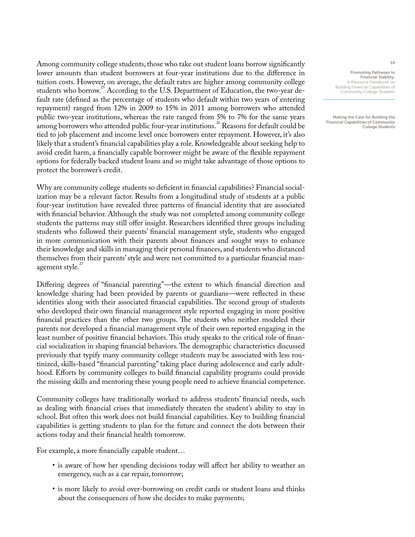Among community college students, those who take out student loans borrow significantly lower amounts than student borrowers at four-year institutions due to the difference in tuition costs. However, on average, the default rates are higher among community college students who borrow.<sup>25</sup> According to the U.S. Department of Education, the two-year default rate (defined as the percentage of students who default within two years of entering repayment) ranged from 12% in 2009 to 15% in 2011 among borrowers who attended public two-year institutions, whereas the rate ranged from 5% to 7% for the same years among borrowers who attended public four-year institutions.<sup>26</sup> Reasons for default could be tied to job placement and income level once borrowers enter repayment. However, it's also likely that a student's financial capabilities play a role. Knowledgeable about seeking help to avoid credit harm, a financially capable borrower might be aware of the flexible repayment options for federally backed student loans and so might take advantage of those options to protect the borrower's credit.

Why are community college students so deficient in financial capabilities? Financial socialization may be a relevant factor. Results from a longitudinal study of students at a public four-year institution have revealed three patterns of financial identity that are associated with financial behavior. Although the study was not completed among community college students the patterns may still offer insight. Researchers identified three groups including students who followed their parents' financial management style, students who engaged in more communication with their parents about finances and sought ways to enhance their knowledge and skills in managing their personal finances, and students who distanced themselves from their parents' style and were not committed to a particular financial management style.<sup>27</sup>

Differing degrees of "financial parenting"—the extent to which financial direction and knowledge sharing had been provided by parents or guardians—were reflected in these identities along with their associated financial capabilities. The second group of students who developed their own financial management style reported engaging in more positive financial practices than the other two groups. The students who neither modeled their parents nor developed a financial management style of their own reported engaging in the least number of positive financial behaviors. This study speaks to the critical role of financial socialization in shaping financial behaviors. The demographic characteristics discussed previously that typify many community college students may be associated with less routinized, skills-based "financial parenting" taking place during adolescence and early adulthood. Efforts by community colleges to build financial capability programs could provide the missing skills and mentoring these young people need to achieve financial competence.

Community colleges have traditionally worked to address students' financial needs, such as dealing with financial crises that immediately threaten the student's ability to stay in school. But often this work does not build financial capabilities. Key to building financial capabilities is getting students to plan for the future and connect the dots between their actions today and their financial health tomorrow.

For example, a more financially capable student…

- is aware of how her spending decisions today will affect her ability to weather an emergency, such as a car repair, tomorrow;
- is more likely to avoid over-borrowing on credit cards or student loans and thinks about the consequences of how she decides to make payments;

Promoting Pathways to Financial Stability: A Resource Handbook on Building Financial Capabilities of Community College Students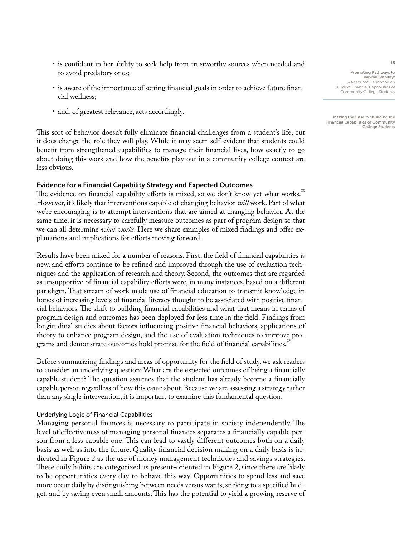- is confident in her ability to seek help from trustworthy sources when needed and to avoid predatory ones;
- is aware of the importance of setting financial goals in order to achieve future financial wellness;
- and, of greatest relevance, acts accordingly.

This sort of behavior doesn't fully eliminate financial challenges from a student's life, but it does change the role they will play. While it may seem self-evident that students could benefit from strengthened capabilities to manage their financial lives, how exactly to go about doing this work and how the benefits play out in a community college context are less obvious.

### Evidence for a Financial Capability Strategy and Expected Outcomes

The evidence on financial capability efforts is mixed, so we don't know yet what works.<sup>28</sup> However, it's likely that interventions capable of changing behavior *will* work. Part of what we're encouraging is to attempt interventions that are aimed at changing behavior. At the same time, it is necessary to carefully measure outcomes as part of program design so that we can all determine *what works*. Here we share examples of mixed findings and offer explanations and implications for efforts moving forward.

Results have been mixed for a number of reasons. First, the field of financial capabilities is new, and efforts continue to be refined and improved through the use of evaluation techniques and the application of research and theory. Second, the outcomes that are regarded as unsupportive of financial capability efforts were, in many instances, based on a different paradigm. That stream of work made use of financial education to transmit knowledge in hopes of increasing levels of financial literacy thought to be associated with positive financial behaviors. The shift to building financial capabilities and what that means in terms of program design and outcomes has been deployed for less time in the field. Findings from longitudinal studies about factors influencing positive financial behaviors, applications of theory to enhance program design, and the use of evaluation techniques to improve programs and demonstrate outcomes hold promise for the field of financial capabilities.<sup>2</sup>

Before summarizing findings and areas of opportunity for the field of study, we ask readers to consider an underlying question: What are the expected outcomes of being a financially capable student? The question assumes that the student has already become a financially capable person regardless of how this came about. Because we are assessing a strategy rather than any single intervention, it is important to examine this fundamental question.

### Underlying Logic of Financial Capabilities

Managing personal finances is necessary to participate in society independently. The level of effectiveness of managing personal finances separates a financially capable person from a less capable one. This can lead to vastly different outcomes both on a daily basis as well as into the future. Quality financial decision making on a daily basis is indicated in Figure 2 as the use of money management techniques and savings strategies. These daily habits are categorized as present-oriented in Figure 2, since there are likely to be opportunities every day to behave this way. Opportunities to spend less and save more occur daily by distinguishing between needs versus wants, sticking to a specified budget, and by saving even small amounts. This has the potential to yield a growing reserve of

Promoting Pathways to Financial Stability: A Resource Handbook on Building Financial Capabilities of Community College Students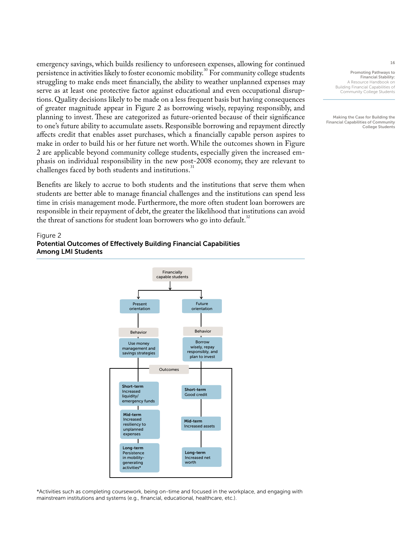emergency savings, which builds resiliency to unforeseen expenses, allowing for continued persistence in activities likely to foster economic mobility.<sup>30</sup> For community college students struggling to make ends meet financially, the ability to weather unplanned expenses may serve as at least one protective factor against educational and even occupational disruptions. Quality decisions likely to be made on a less frequent basis but having consequences of greater magnitude appear in Figure 2 as borrowing wisely, repaying responsibly, and planning to invest. These are categorized as future-oriented because of their significance to one's future ability to accumulate assets. Responsible borrowing and repayment directly affects credit that enables asset purchases, which a financially capable person aspires to make in order to build his or her future net worth. While the outcomes shown in Figure 2 are applicable beyond community college students, especially given the increased emphasis on individual responsibility in the new post-2008 economy, they are relevant to challenges faced by both students and institutions.

Benefits are likely to accrue to both students and the institutions that serve them when students are better able to manage financial challenges and the institutions can spend less time in crisis management mode. Furthermore, the more often student loan borrowers are responsible in their repayment of debt, the greater the likelihood that institutions can avoid the threat of sanctions for student loan borrowers who go into default.<sup>32</sup>

#### Figure 2

## Potential Outcomes of Effectively Building Financial Capabilities Among LMI Students



\*Activities such as completing coursework, being on-time and focused in the workplace, and engaging with mainstream institutions and systems (e.g., financial, educational, healthcare, etc.).

Promoting Pathways to Financial Stability: A Resource Handbook on Building Financial Capabilities of Community College Students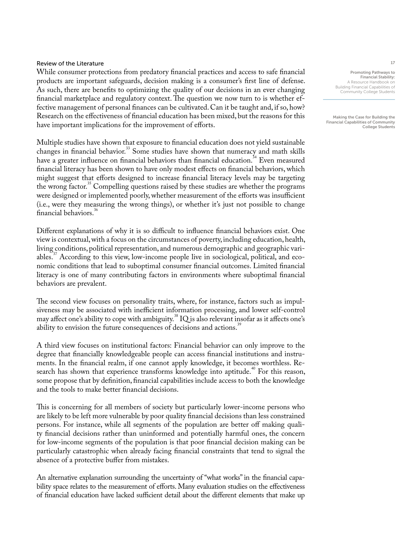## Review of the Literature

While consumer protections from predatory financial practices and access to safe financial products are important safeguards, decision making is a consumer's first line of defense. As such, there are benefits to optimizing the quality of our decisions in an ever changing financial marketplace and regulatory context. The question we now turn to is whether effective management of personal finances can be cultivated. Can it be taught and, if so, how? Research on the effectiveness of financial education has been mixed, but the reasons for this have important implications for the improvement of efforts.

Multiple studies have shown that exposure to financial education does not yield sustainable changes in financial behavior. $33$  Some studies have shown that numeracy and math skills have a greater influence on financial behaviors than financial education.<sup>34</sup> Even measured financial literacy has been shown to have only modest effects on financial behaviors, which might suggest that efforts designed to increase financial literacy levels may be targeting the wrong factor.<sup>35</sup> Compelling questions raised by these studies are whether the programs were designed or implemented poorly, whether measurement of the efforts was insufficient (i.e., were they measuring the wrong things), or whether it's just not possible to change financial behaviors.

Different explanations of why it is so difficult to influence financial behaviors exist. One view is contextual, with a focus on the circumstances of poverty, including education, health, living conditions, political representation, and numerous demographic and geographic variables.<sup>37</sup> According to this view, low-income people live in sociological, political, and economic conditions that lead to suboptimal consumer financial outcomes. Limited financial literacy is one of many contributing factors in environments where suboptimal financial behaviors are prevalent.

The second view focuses on personality traits, where, for instance, factors such as impulsiveness may be associated with inefficient information processing, and lower self-control may affect one's ability to cope with ambiguity.<sup>38</sup> IQ is also relevant insofar as it affects one's ability to envision the future consequences of decisions and actions.<sup>39</sup>

A third view focuses on institutional factors: Financial behavior can only improve to the degree that financially knowledgeable people can access financial institutions and instruments. In the financial realm, if one cannot apply knowledge, it becomes worthless. Research has shown that experience transforms knowledge into aptitude.<sup>40</sup> For this reason, some propose that by definition, financial capabilities include access to both the knowledge and the tools to make better financial decisions.

This is concerning for all members of society but particularly lower-income persons who are likely to be left more vulnerable by poor quality financial decisions than less constrained persons. For instance, while all segments of the population are better off making quality financial decisions rather than uninformed and potentially harmful ones, the concern for low-income segments of the population is that poor financial decision making can be particularly catastrophic when already facing financial constraints that tend to signal the absence of a protective buffer from mistakes.

An alternative explanation surrounding the uncertainty of "what works" in the financial capability space relates to the measurement of efforts. Many evaluation studies on the effectiveness of financial education have lacked sufficient detail about the different elements that make up Promoting Pathways to Financial Stability:

A Resource Handbook on Building Financial Capabilities of Community College Students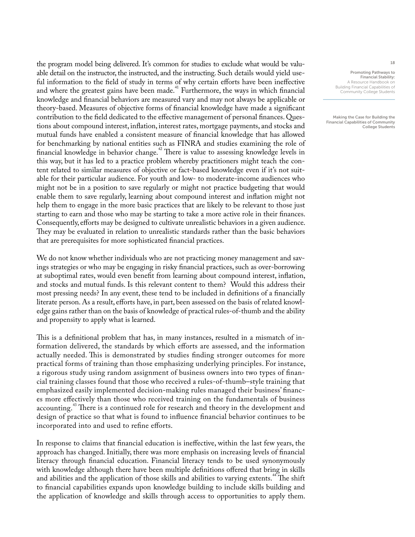the program model being delivered. It's common for studies to exclude what would be valuable detail on the instructor, the instructed, and the instructing. Such details would yield useful information to the field of study in terms of why certain efforts have been ineffective and where the greatest gains have been made.<sup>41</sup> Furthermore, the ways in which financial knowledge and financial behaviors are measured vary and may not always be applicable or theory-based. Measures of objective forms of financial knowledge have made a significant contribution to the field dedicated to the effective management of personal finances. Questions about compound interest, inflation, interest rates, mortgage payments, and stocks and mutual funds have enabled a consistent measure of financial knowledge that has allowed for benchmarking by national entities such as FINRA and studies examining the role of financial knowledge in behavior change.<sup>42</sup> There is value to assessing knowledge levels in this way, but it has led to a practice problem whereby practitioners might teach the content related to similar measures of objective or fact-based knowledge even if it's not suitable for their particular audience. For youth and low- to moderate-income audiences who might not be in a position to save regularly or might not practice budgeting that would enable them to save regularly, learning about compound interest and inflation might not help them to engage in the more basic practices that are likely to be relevant to those just starting to earn and those who may be starting to take a more active role in their finances. Consequently, efforts may be designed to cultivate unrealistic behaviors in a given audience. They may be evaluated in relation to unrealistic standards rather than the basic behaviors that are prerequisites for more sophisticated financial practices.

We do not know whether individuals who are not practicing money management and savings strategies or who may be engaging in risky financial practices, such as over-borrowing at suboptimal rates, would even benefit from learning about compound interest, inflation, and stocks and mutual funds. Is this relevant content to them? Would this address their most pressing needs? In any event, these tend to be included in definitions of a financially literate person. As a result, efforts have, in part, been assessed on the basis of related knowledge gains rather than on the basis of knowledge of practical rules-of-thumb and the ability and propensity to apply what is learned.

This is a definitional problem that has, in many instances, resulted in a mismatch of information delivered, the standards by which efforts are assessed, and the information actually needed. This is demonstrated by studies finding stronger outcomes for more practical forms of training than those emphasizing underlying principles. For instance, a rigorous study using random assignment of business owners into two types of financial training classes found that those who received a rules-of-thumb–style training that emphasized easily implemented decision-making rules managed their business' finances more effectively than those who received training on the fundamentals of business accounting.<sup>43</sup> There is a continued role for research and theory in the development and design of practice so that what is found to influence financial behavior continues to be incorporated into and used to refine efforts.

In response to claims that financial education is ineffective, within the last few years, the approach has changed. Initially, there was more emphasis on increasing levels of financial literacy through financial education. Financial literacy tends to be used synonymously with knowledge although there have been multiple definitions offered that bring in skills and abilities and the application of those skills and abilities to varying extents.<sup>44</sup> The shift to financial capabilities expands upon knowledge building to include skills building and the application of knowledge and skills through access to opportunities to apply them.

Promoting Pathways to Financial Stability: A Resource Handbook on Building Financial Capabilities of Community College Students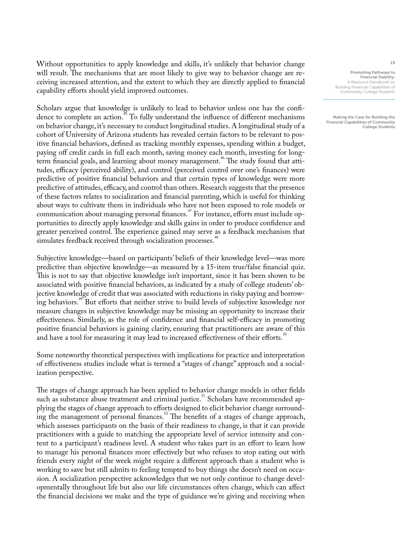Without opportunities to apply knowledge and skills, it's unlikely that behavior change will result. The mechanisms that are most likely to give way to behavior change are receiving increased attention, and the extent to which they are directly applied to financial capability efforts should yield improved outcomes.

Scholars argue that knowledge is unlikely to lead to behavior unless one has the confidence to complete an action.<sup>45</sup> To fully understand the influence of different mechanisms on behavior change, it's necessary to conduct longitudinal studies. A longitudinal study of a cohort of University of Arizona students has revealed certain factors to be relevant to positive financial behaviors, defined as tracking monthly expenses, spending within a budget, paying off credit cards in full each month, saving money each month, investing for longterm financial goals, and learning about money management.<sup>46</sup> The study found that attitudes, efficacy (perceived ability), and control (perceived control over one's finances) were predictive of positive financial behaviors and that certain types of knowledge were more predictive of attitudes, efficacy, and control than others. Research suggests that the presence of these factors relates to socialization and financial parenting, which is useful for thinking about ways to cultivate them in individuals who have not been exposed to role models or communication about managing personal finances.<sup>47</sup> For instance, efforts must include opportunities to directly apply knowledge and skills gains in order to produce confidence and greater perceived control. The experience gained may serve as a feedback mechanism that simulates feedback received through socialization processes.<sup>48</sup>

Subjective knowledge—based on participants' beliefs of their knowledge level—was more predictive than objective knowledge—as measured by a 15-item true/false financial quiz. This is not to say that objective knowledge isn't important, since it has been shown to be associated with positive financial behaviors, as indicated by a study of college students' objective knowledge of credit that was associated with reductions in risky paying and borrowing behaviors.<sup>49</sup> But efforts that neither strive to build levels of subjective knowledge nor measure changes in subjective knowledge may be missing an opportunity to increase their effectiveness. Similarly, as the role of confidence and financial self-efficacy in promoting positive financial behaviors is gaining clarity, ensuring that practitioners are aware of this and have a tool for measuring it may lead to increased effectiveness of their efforts.<sup>50</sup>

Some noteworthy theoretical perspectives with implications for practice and interpretation of effectiveness studies include what is termed a "stages of change" approach and a socialization perspective.

The stages of change approach has been applied to behavior change models in other fields such as substance abuse treatment and criminal justice.<sup>51</sup> Scholars have recommended applying the stages of change approach to efforts designed to elicit behavior change surrounding the management of personal finances.<sup>52</sup> The benefits of a stages of change approach, which assesses participants on the basis of their readiness to change, is that it can provide practitioners with a guide to matching the appropriate level of service intensity and content to a participant's readiness level. A student who takes part in an effort to learn how to manage his personal finances more effectively but who refuses to stop eating out with friends every night of the week might require a different approach than a student who is working to save but still admits to feeling tempted to buy things she doesn't need on occasion. A socialization perspective acknowledges that we not only continue to change developmentally throughout life but also our life circumstances often change, which can affect the financial decisions we make and the type of guidance we're giving and receiving when

Promoting Pathways to Financial Stability: A Resource Handbook on Building Financial Capabilities of Community College Students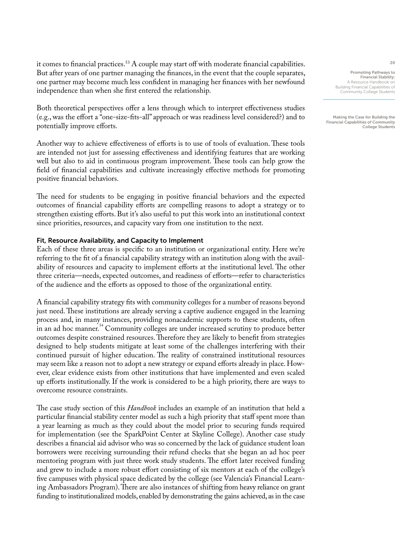it comes to financial practices.<sup>53</sup> A couple may start off with moderate financial capabilities. But after years of one partner managing the finances, in the event that the couple separates, one partner may become much less confident in managing her finances with her newfound independence than when she first entered the relationship.

Both theoretical perspectives offer a lens through which to interpret effectiveness studies (e.g., was the effort a "one-size-fits-all" approach or was readiness level considered?) and to potentially improve efforts.

Another way to achieve effectiveness of efforts is to use of tools of evaluation. These tools are intended not just for assessing effectiveness and identifying features that are working well but also to aid in continuous program improvement. These tools can help grow the field of financial capabilities and cultivate increasingly effective methods for promoting positive financial behaviors.

The need for students to be engaging in positive financial behaviors and the expected outcomes of financial capability efforts are compelling reasons to adopt a strategy or to strengthen existing efforts. But it's also useful to put this work into an institutional context since priorities, resources, and capacity vary from one institution to the next.

## Fit, Resource Availability, and Capacity to Implement

Each of these three areas is specific to an institution or organizational entity. Here we're referring to the fit of a financial capability strategy with an institution along with the availability of resources and capacity to implement efforts at the institutional level. The other three criteria—needs, expected outcomes, and readiness of efforts—refer to characteristics of the audience and the efforts as opposed to those of the organizational entity.

A financial capability strategy fits with community colleges for a number of reasons beyond just need. These institutions are already serving a captive audience engaged in the learning process and, in many instances, providing nonacademic supports to these students, often in an ad hoc manner.<sup>34</sup> Community colleges are under increased scrutiny to produce better outcomes despite constrained resources. Therefore they are likely to benefit from strategies designed to help students mitigate at least some of the challenges interfering with their continued pursuit of higher education. The reality of constrained institutional resources may seem like a reason not to adopt a new strategy or expand efforts already in place. However, clear evidence exists from other institutions that have implemented and even scaled up efforts institutionally. If the work is considered to be a high priority, there are ways to overcome resource constraints.

The case study section of this *Handbook* includes an example of an institution that held a particular financial stability center model as such a high priority that staff spent more than a year learning as much as they could about the model prior to securing funds required for implementation (see the SparkPoint Center at Skyline College). Another case study describes a financial aid advisor who was so concerned by the lack of guidance student loan borrowers were receiving surrounding their refund checks that she began an ad hoc peer mentoring program with just three work study students. The effort later received funding and grew to include a more robust effort consisting of six mentors at each of the college's five campuses with physical space dedicated by the college (see Valencia's Financial Learning Ambassadors Program). There are also instances of shifting from heavy reliance on grant funding to institutionalized models, enabled by demonstrating the gains achieved, as in the case

Promoting Pathways to Financial Stability: A Resource Handbook on Building Financial Capabilities of Community College Students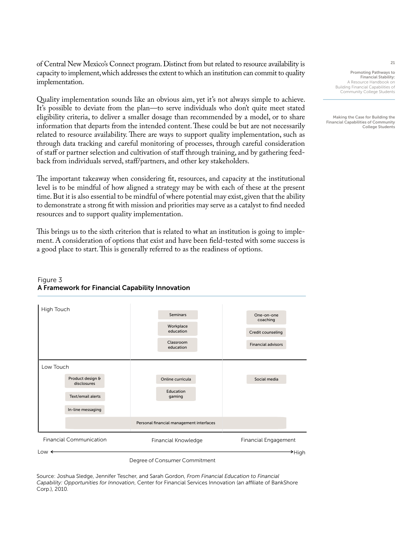of Central New Mexico's Connect program. Distinct from but related to resource availability is capacity to implement, which addresses the extent to which an institution can commit to quality implementation.

Quality implementation sounds like an obvious aim, yet it's not always simple to achieve. It's possible to deviate from the plan—to serve individuals who don't quite meet stated eligibility criteria, to deliver a smaller dosage than recommended by a model, or to share information that departs from the intended content. These could be but are not necessarily related to resource availability. There are ways to support quality implementation, such as through data tracking and careful monitoring of processes, through careful consideration of staff or partner selection and cultivation of staff through training, and by gathering feedback from individuals served, staff/partners, and other key stakeholders.

The important takeaway when considering fit, resources, and capacity at the institutional level is to be mindful of how aligned a strategy may be with each of these at the present time. But it is also essential to be mindful of where potential may exist, given that the ability to demonstrate a strong fit with mission and priorities may serve as a catalyst to find needed resources and to support quality implementation.

This brings us to the sixth criterion that is related to what an institution is going to implement. A consideration of options that exist and have been field-tested with some success is a good place to start. This is generally referred to as the readiness of options.

### Seminars **Workplace** education Classroom education One-on-one coaching Credit counseling Financial advisors Product design & disclosures Text/email alerts In-line messaging Online curricula Education gaming Social media Personal financial management interfaces High Touch Low Touch Financial Communication Financial Knowledge Financial Engagement Low High

## Figure 3 A Framework for Financial Capability Innovation

Degree of Consumer Commitment

Source: Joshua Sledge, Jennifer Tescher, and Sarah Gordon, *From Financial Education to Financial Capability: Opportunities for Innovation*, Center for Financial Services Innovation (an affiliate of BankShore Corp.), 2010.

Promoting Pathways to Financial Stability: A Resource Handbook on Building Financial Capabilities of Community College Students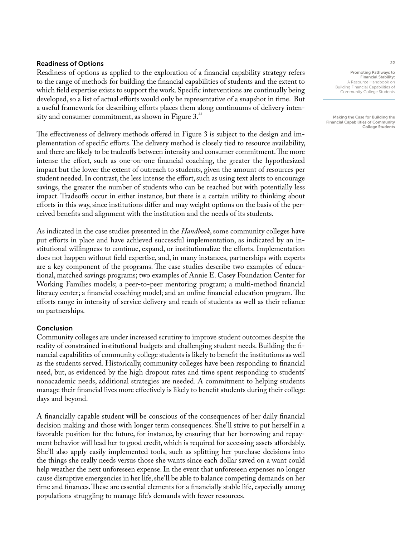## Readiness of Options

Readiness of options as applied to the exploration of a financial capability strategy refers to the range of methods for building the financial capabilities of students and the extent to which field expertise exists to support the work. Specific interventions are continually being developed, so a list of actual efforts would only be representative of a snapshot in time. But a useful framework for describing efforts places them along continuums of delivery intensity and consumer commitment, as shown in Figure 3.<sup>55</sup>

The effectiveness of delivery methods offered in Figure 3 is subject to the design and implementation of specific efforts. The delivery method is closely tied to resource availability, and there are likely to be tradeoffs between intensity and consumer commitment. The more intense the effort, such as one-on-one financial coaching, the greater the hypothesized impact but the lower the extent of outreach to students, given the amount of resources per student needed. In contrast, the less intense the effort, such as using text alerts to encourage savings, the greater the number of students who can be reached but with potentially less impact. Tradeoffs occur in either instance, but there is a certain utility to thinking about efforts in this way, since institutions differ and may weight options on the basis of the perceived benefits and alignment with the institution and the needs of its students.

As indicated in the case studies presented in the *Handbook*, some community colleges have put efforts in place and have achieved successful implementation, as indicated by an institutional willingness to continue, expand, or institutionalize the efforts. Implementation does not happen without field expertise, and, in many instances, partnerships with experts are a key component of the programs. The case studies describe two examples of educational, matched savings programs; two examples of Annie E. Casey Foundation Center for Working Families models; a peer-to-peer mentoring program; a multi-method financial literacy center; a financial coaching model; and an online financial education program. The efforts range in intensity of service delivery and reach of students as well as their reliance on partnerships.

## Conclusion

Community colleges are under increased scrutiny to improve student outcomes despite the reality of constrained institutional budgets and challenging student needs. Building the financial capabilities of community college students is likely to benefit the institutions as well as the students served. Historically, community colleges have been responding to financial need, but, as evidenced by the high dropout rates and time spent responding to students' nonacademic needs, additional strategies are needed. A commitment to helping students manage their financial lives more effectively is likely to benefit students during their college days and beyond.

A financially capable student will be conscious of the consequences of her daily financial decision making and those with longer term consequences. She'll strive to put herself in a favorable position for the future, for instance, by ensuring that her borrowing and repayment behavior will lead her to good credit, which is required for accessing assets affordably. She'll also apply easily implemented tools, such as splitting her purchase decisions into the things she really needs versus those she wants since each dollar saved on a want could help weather the next unforeseen expense. In the event that unforeseen expenses no longer cause disruptive emergencies in her life, she'll be able to balance competing demands on her time and finances. These are essential elements for a financially stable life, especially among populations struggling to manage life's demands with fewer resources.

Promoting Pathways to Financial Stability: A Resource Handbook on Building Financial Capabilities of Community College Students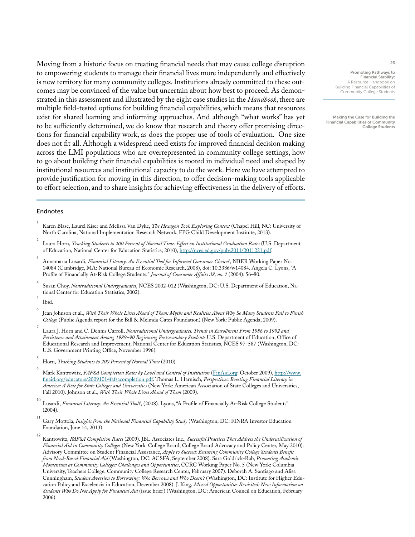Moving from a historic focus on treating financial needs that may cause college disruption to empowering students to manage their financial lives more independently and effectively is new territory for many community colleges. Institutions already committed to these outcomes may be convinced of the value but uncertain about how best to proceed. As demonstrated in this assessment and illustrated by the eight case studies in the *Handbook*, there are multiple field-tested options for building financial capabilities, which means that resources exist for shared learning and informing approaches. And although "what works" has yet to be sufficiently determined, we do know that research and theory offer promising directions for financial capability work, as does the proper use of tools of evaluation. One size does not fit all. Although a widespread need exists for improved financial decision making across the LMI populations who are overrepresented in community college settings, how to go about building their financial capabilities is rooted in individual need and shaped by institutional resources and institutional capacity to do the work. Here we have attempted to provide justification for moving in this direction, to offer decision-making tools applicable to effort selection, and to share insights for achieving effectiveness in the delivery of efforts.

### Endnotes

- 1 Karen Blase, Laurel Kiser and Melissa Van Dyke, *The Hexagon Tool: Exploring Context* (Chapel Hill, NC: University of North Carolina, National Implementation Research Network, FPG Child Development Institute, 2013).
- 2 Laura Horn, *Tracking Students to 200 Percent of Normal Time: Effect on Institutional Graduation Rates* (U.S. Department of Education, National Center for Education Statistics, 2010), <http://nces.ed.gov/pubs2011/2011221.pdf>.
- 3 Annamaria Lusardi, *Financial Literacy: An Essential Tool for Informed Consumer Choice?*, NBER Working Paper No. 14084 (Cambridge, MA: National Bureau of Economic Research, 2008), doi: 10.3386/w14084. Angela C. Lyons, "A Profile of Financially At-Risk College Students," *Journal of Consumer Affairs 38, no. 1* (2004): 56–80.
- 4 Susan Choy, *Nontraditional Undergraduates*, NCES 2002-012 (Washington, DC: U.S. Department of Education, National Center for Education Statistics, 2002).
- 5 Ibid.
- 6 Jean Johnson et al., *With Their Whole Lives Ahead of Them: Myths and Realities About Why So Many Students Fail to Finish College* (Public Agenda report for the Bill & Melinda Gates Foundation) (New York: Public Agenda, 2009).
- 7 Laura J. Horn and C. Dennis Carroll, *Nontraditional Undergraduates, Trends in Enrollment From 1986 to 1992 and Persistence and Attainment Among 1989–90 Beginning Postsecondary Students* U.S. Department of Education, Office of Educational Research and Improvement, National Center for Education Statistics, NCES 97–587 (Washington, DC: U.S. Government Printing Office, November 1996).
- 8 Horn, *Tracking Students to 200 Percent of Normal Time* (2010).
- 9 Mark Kantrowitz, *FAFSA Completion Rates by Level and Control of Institution* [\(FinAid.org](http://www.FinAid.org): October 2009), [http://www.](http://www.finaid.org/educators/20091014fafsacompletion.pdf) [finaid.org/educators/20091014fafsacompletion.pdf.](http://www.finaid.org/educators/20091014fafsacompletion.pdf) Thomas L. Harnisch, *Perspectives: Boosting Financial Literacy in America: A Role for State Colleges and Universities* (New York: American Association of State Colleges and Universities, Fall 2010). Johnson et al., *With Their Whole Lives Ahead of Them* (2009).
- 10 Lusardi, *Financial Literacy: An Essential Tool?*, (2008). Lyons, "A Profile of Financially At-Risk College Students" (2004).
- 11 Gary Mottola, *Insights from the National Financial Capability Study* (Washington, DC: FINRA Investor Education Foundation, June 14, 2013).
- 12 Kantrowitz, *FAFSA Completion Rates* (2009). JBL Associates Inc., *Successful Practices That Address the Underutilization of Financial Aid in Community Colleges* (New York: College Board, College Board Advocacy and Policy Center, May 2010). Advisory Committee on Student Financial Assistance, *Apply to Succeed: Ensuring Community College Students Benefit from Need-Based Financial Aid* (Washington, DC: ACSFA, September 2008). Sara Goldrick-Rab, *Promoting Academic Momentum at Community Colleges: Challenges and Opportunities*, CCRC Working Paper No. 5 (New York: Columbia University, Teachers College, Community College Research Center, February 2007). Deborah A. Santiago and Alisa Cunningham, *Student Aversion to Borrowing: Who Borrows and Who Doesn't* (Washington, DC: Institute for Higher Education Policy and Excelencia in Education, December 2008). J. King, *Missed Opportunities Revisited: New Information on Students Who Do Not Apply for Financial Aid* (issue brief ) (Washington, DC: American Council on Education, February 2006).

Promoting Pathways to Financial Stability: A Resource Handbook on Building Financial Capabilities of Community College Students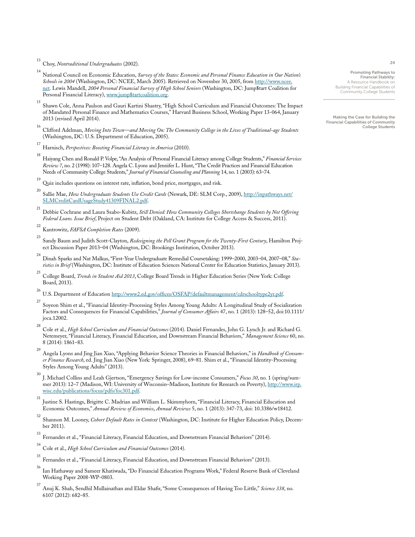13 Choy, *Nontraditional Undergraduates* (2002).

- 14 National Council on Economic Education, *Survey of the States: Economic and Personal Finance Education in Our Nation's Schools in 2004* (Washington, DC: NCEE, March 2005). Retrieved on November 30, 2005, from [http://www.ncee.](http://www.ncee.net) [net](http://www.ncee.net). Lewis Mandell, *2004 Personal Financial Survey of High School Seniors* (Washington, DC: Jump\$tart Coalition for Personal Financial Literacy), [www.jump\\$tartcoalition.org](http://www.jumpstartcoalition.org).
- 15 Shawn Cole, Anna Paulson and Gauri Kartini Shastry, "High School Curriculum and Financial Outcomes: The Impact of Mandated Personal Finance and Mathematics Courses," Harvard Business School, Working Paper 13-064, January 2013 (revised April 2014).
- 16 Clifford Adelman, *Moving Into Town—and Moving On: The Community College in the Lives of Traditional-age Students* (Washington, DC: U.S. Department of Education, 2005).
- 17 Harnisch, *Perspectives: Boosting Financial Literacy in America* (2010).
- 18 Haiyang Chen and Ronald P. Volpe, "An Analysis of Personal Financial Literacy among College Students," *Financial Services Review 7*, no. 2 (1998): 107–128. Angela C. Lyons and Jennifer L. Hunt, "The Credit Practices and Financial Education Needs of Community College Students," *Journal of Financial Counseling and Planning* 14, no. 1 (2003): 63–74.
- 19 Quiz includes questions on interest rate, inflation, bond price, mortgages, and risk.

20 Sallie Mae, *How Undergraduate Students Use Credit Cards* (Newark, DE: SLM Corp., 2009), [http://inpathways.net/](http://inpathways.net/SLMCreditCardUsageStudy41309FINAL2.pdf) [SLMCreditCardUsageStudy41309FINAL2.pdf.](http://inpathways.net/SLMCreditCardUsageStudy41309FINAL2.pdf)

- 21 Debbie Cochrane and Laura Szabo-Kubitz, *Still Denied: How Community Colleges Shortchange Students by Not Offering Federal Loans. Issue Brief*, Project on Student Debt (Oakland, CA: Institute for College Access & Success, 2011).
- 22 Kantrowitz, *FAFSA Completion Rates* (2009).
- 23 Sandy Baum and Judith Scott-Clayton, *Redesigning the Pell Grant Program for the Twenty-First Century*, Hamilton Project Discussion Paper 2013–04 (Washington, DC: Brookings Institution, October 2013).
- 24 Dinah Sparks and Nat Malkus, "First-Year Undergraduate Remedial Coursetaking: 1999–2000, 2003–04, 2007–08," *Statistics in Brief* (Washington, DC: Institute of Education Sciences National Center for Education Statistics, January 2013).
- 25 College Board, *Trends in Student Aid 2013*, College Board Trends in Higher Education Series (New York: College Board, 2013).

26 U.S. Department of Education <http://www2.ed.gov/offices/OSFAP/defaultmanagement/cdrschooltype2yr.pdf>.

- 27 Soyeon Shim et al., "Financial Identity-Processing Styles Among Young Adults: A Longitudinal Study of Socialization Factors and Consequences for Financial Capabilities," *Journal of Consumer Affairs* 47, no. 1 (2013): 128–52, doi:10.1111/ joca.12002.
- 28 Cole et al., *High School Curriculum and Financial Outcomes* (2014). Daniel Fernandes, John G. Lynch Jr. and Richard G. Netemeyer, "Financial Literacy, Financial Education, and Downstream Financial Behaviors," *Management Science* 60, no. 8 (2014): 1861–83.
- 29 Angela Lyons and Jing Jian Xiao, "Applying Behavior Science Theories in Financial Behaviors," in *Handbook of Consumer Finance Research*, ed. Jing Jian Xiao (New York: Springer, 2008), 69–81. Shim et al., "Financial Identity-Processing Styles Among Young Adults" (2013).
- 30 J. Michael Collins and Leah Gjertson, "Emergency Savings for Low-income Consumers," *Focus 30*, no. 1 (spring/summer 2013): 12–7 (Madison, WI: University of Wisconsin–Madison, Institute for Research on Poverty), [http://www.irp.](http://www.irp.wisc.edu/publications/focus/pdfs/foc301.pdf) [wisc.edu/publications/focus/pdfs/foc301.pdf](http://www.irp.wisc.edu/publications/focus/pdfs/foc301.pdf).
- 31 Justine S. Hastings, Brigitte C. Madrian and William L. Skimmyhorn, "Financial Literacy, Financial Education and Economic Outcomes," *Annual Review of Economics*, *Annual Reviews* 5, no. 1 (2013): 347-73, doi: 10.3386/w18412.
- 32 Shannon M. Looney, *Cohort Default Rates in Context* (Washington, DC: Institute for Higher Education Policy, December 2011).
- 33 Fernandes et al., "Financial Literacy, Financial Education, and Downstream Financial Behaviors" (2014).
- 34 Cole et al., *High School Curriculum and Financial Outcomes* (2014).
- 35 Fernandes et al., "Financial Literacy, Financial Education, and Downstream Financial Behaviors" (2013).
- 36 Ian Hathaway and Sameer Khatiwada, "Do Financial Education Programs Work," Federal Reserve Bank of Cleveland Working Paper 2008-WP-0803.
- 37 Anuj K. Shah, Sendhil Mullainathan and Eldar Shafir, "Some Consequences of Having Too Little," *Science 338*, no. 6107 (2012): 682–85.

Promoting Pathways to Financial Stability: A Resource Handbook on Building Financial Capabilities of Community College Students